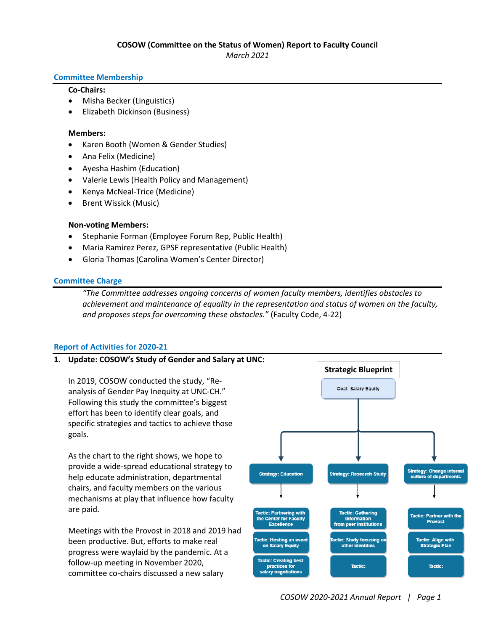# **COSOW (Committee on the Status of Women) Report to Faculty Council**

*March 2021*

### **Committee Membership**

### **Co-Chairs:**

- Misha Becker (Linguistics)
- Elizabeth Dickinson (Business)

#### **Members:**

- Karen Booth (Women & Gender Studies)
- Ana Felix (Medicine)
- Ayesha Hashim (Education)
- Valerie Lewis (Health Policy and Management)
- Kenya McNeal-Trice (Medicine)
- Brent Wissick (Music)

# **Non-voting Members:**

- Stephanie Forman (Employee Forum Rep, Public Health)
- Maria Ramirez Perez, GPSF representative (Public Health)
- Gloria Thomas (Carolina Women's Center Director)

#### **Committee Charge**

*"The Committee addresses ongoing concerns of women faculty members, identifies obstacles to achievement and maintenance of equality in the representation and status of women on the faculty, and proposes steps for overcoming these obstacles."* (Faculty Code, 4-22)

# **Report of Activities for 2020-21**

# **1. Update: COSOW's Study of Gender and Salary at UNC:**

In 2019, COSOW conducted the study, "Reanalysis of Gender Pay Inequity at UNC-CH." Following this study the committee's biggest effort has been to identify clear goals, and specific strategies and tactics to achieve those goals.

As the chart to the right shows, we hope to provide a wide-spread educational strategy to help educate administration, departmental chairs, and faculty members on the various mechanisms at play that influence how faculty are paid.

Meetings with the Provost in 2018 and 2019 had been productive. But, efforts to make real progress were waylaid by the pandemic. At a follow-up meeting in November 2020, committee co-chairs discussed a new salary

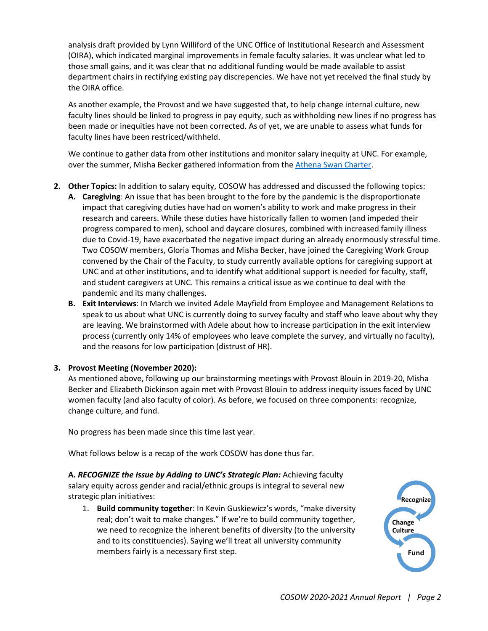analysis draft provided by Lynn Williford of the UNC Office of Institutional Research and Assessment (OIRA), which indicated marginal improvements in female faculty salaries. It was unclear what led to those small gains, and it was clear that no additional funding would be made available to assist department chairs in rectifying existing pay discrepencies. We have not yet received the final study by the OIRA office.

As another example, the Provost and we have suggested that, to help change internal culture, new faculty lines should be linked to progress in pay equity, such as withholding new lines if no progress has been made or inequities have not been corrected. As of yet, we are unable to assess what funds for faculty lines have been restriced/withheld.

We continue to gather data from other institutions and monitor salary inequity at UNC. For example, over the summer, Misha Becker gathered information from th[e Athena Swan Charter.](https://www.advance-he.ac.uk/equality-charters/athena-swan-charter)

- **2. Other Topics:** In addition to salary equity, COSOW has addressed and discussed the following topics:
	- **A. Caregiving**: An issue that has been brought to the fore by the pandemic is the disproportionate impact that caregiving duties have had on women's ability to work and make progress in their research and careers. While these duties have historically fallen to women (and impeded their progress compared to men), school and daycare closures, combined with increased family illness due to Covid-19, have exacerbated the negative impact during an already enormously stressful time. Two COSOW members, Gloria Thomas and Misha Becker, have joined the Caregiving Work Group convened by the Chair of the Faculty, to study currently available options for caregiving support at UNC and at other institutions, and to identify what additional support is needed for faculty, staff, and student caregivers at UNC. This remains a critical issue as we continue to deal with the pandemic and its many challenges.
	- **B. Exit Interviews**: In March we invited Adele Mayfield from Employee and Management Relations to speak to us about what UNC is currently doing to survey faculty and staff who leave about why they are leaving. We brainstormed with Adele about how to increase participation in the exit interview process (currently only 14% of employees who leave complete the survey, and virtually no faculty), and the reasons for low participation (distrust of HR).

# **3. Provost Meeting (November 2020):**

As mentioned above, following up our brainstorming meetings with Provost Blouin in 2019-20, Misha Becker and Elizabeth Dickinson again met with Provost Blouin to address inequity issues faced by UNC women faculty (and also faculty of color). As before, we focused on three components: recognize, change culture, and fund.

No progress has been made since this time last year.

What follows below is a recap of the work COSOW has done thus far.

**A.** *RECOGNIZE the Issue by Adding to UNC's Strategic Plan:* Achieving faculty salary equity across gender and racial/ethnic groups is integral to several new strategic plan initiatives:

1. **Build community together**: In Kevin Guskiewicz's words, "make diversity real; don't wait to make changes." If we're to build community together, we need to recognize the inherent benefits of diversity (to the university and to its constituencies). Saying we'll treat all university community members fairly is a necessary first step.

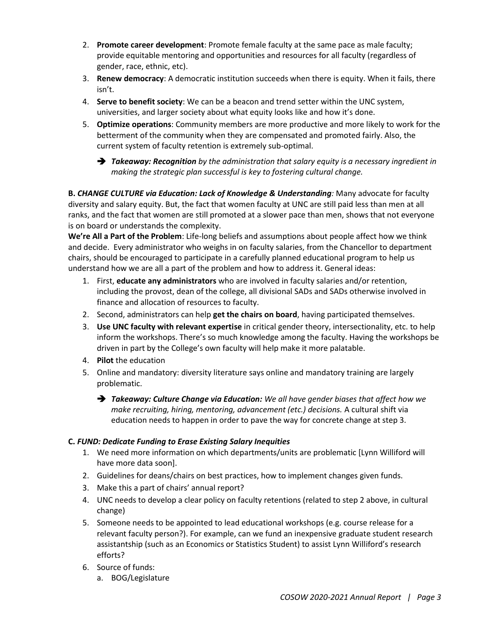- 2. **Promote career development**: Promote female faculty at the same pace as male faculty; provide equitable mentoring and opportunities and resources for all faculty (regardless of gender, race, ethnic, etc).
- 3. **Renew democracy**: A democratic institution succeeds when there is equity. When it fails, there isn't.
- 4. **Serve to benefit society**: We can be a beacon and trend setter within the UNC system, universities, and larger society about what equity looks like and how it's done.
- 5. **Optimize operations**: Community members are more productive and more likely to work for the betterment of the community when they are compensated and promoted fairly. Also, the current system of faculty retention is extremely sub-optimal.
	- *Takeaway: Recognition by the administration that salary equity is a necessary ingredient in making the strategic plan successful is key to fostering cultural change.*

**B.** *CHANGE CULTURE via Education: Lack of Knowledge & Understanding:* Many advocate for faculty diversity and salary equity. But, the fact that women faculty at UNC are still paid less than men at all ranks, and the fact that women are still promoted at a slower pace than men, shows that not everyone is on board or understands the complexity.

**We're All a Part of the Problem**: Life-long beliefs and assumptions about people affect how we think and decide. Every administrator who weighs in on faculty salaries, from the Chancellor to department chairs, should be encouraged to participate in a carefully planned educational program to help us understand how we are all a part of the problem and how to address it. General ideas:

- 1. First, **educate any administrators** who are involved in faculty salaries and/or retention, including the provost, dean of the college, all divisional SADs and SADs otherwise involved in finance and allocation of resources to faculty.
- 2. Second, administrators can help **get the chairs on board**, having participated themselves.
- 3. **Use UNC faculty with relevant expertise** in critical gender theory, intersectionality, etc. to help inform the workshops. There's so much knowledge among the faculty. Having the workshops be driven in part by the College's own faculty will help make it more palatable.
- 4. **Pilot** the education
- 5. Online and mandatory: diversity literature says online and mandatory training are largely problematic.
	- *Takeaway: Culture Change via Education: We all have gender biases that affect how we make recruiting, hiring, mentoring, advancement (etc.) decisions.* A cultural shift via education needs to happen in order to pave the way for concrete change at step 3.

# **C.** *FUND: Dedicate Funding to Erase Existing Salary Inequities*

- 1. We need more information on which departments/units are problematic [Lynn Williford will have more data soon].
- 2. Guidelines for deans/chairs on best practices, how to implement changes given funds.
- 3. Make this a part of chairs' annual report?
- 4. UNC needs to develop a clear policy on faculty retentions (related to step 2 above, in cultural change)
- 5. Someone needs to be appointed to lead educational workshops (e.g. course release for a relevant faculty person?). For example, can we fund an inexpensive graduate student research assistantship (such as an Economics or Statistics Student) to assist Lynn Williford's research efforts?
- 6. Source of funds:
	- a. BOG/Legislature